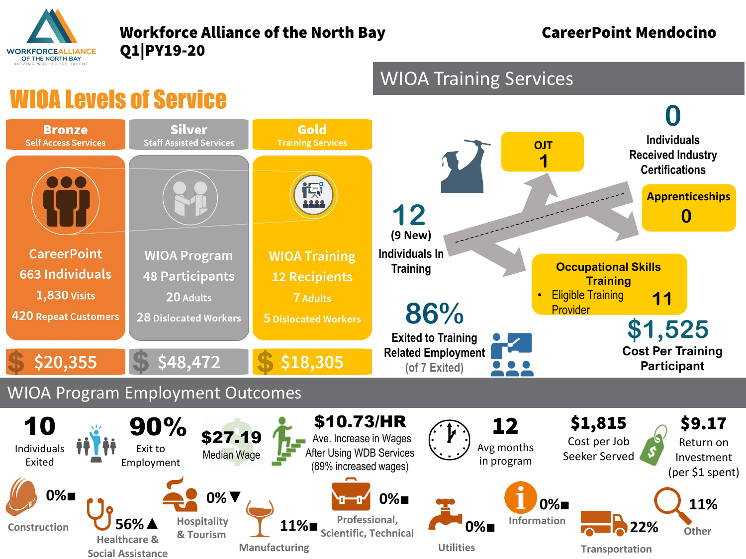

## Workforce Alliance of the North Bay **CareerPoint Mendocino** Q1|PY19-20

**0**

**0**